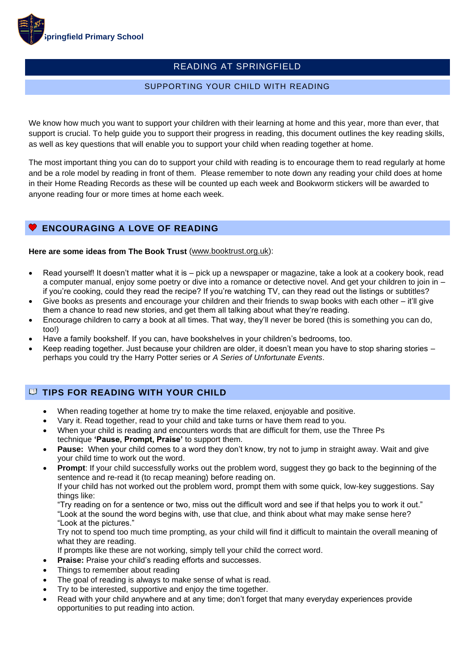

# READING AT SPRINGFIELD

## SUPPORTING YOUR CHILD WITH READING

We know how much you want to support your children with their learning at home and this year, more than ever, that support is crucial. To help guide you to support their progress in reading, this document outlines the key reading skills, as well as key questions that will enable you to support your child when reading together at home.

The most important thing you can do to support your child with reading is to encourage them to read regularly at home and be a role model by reading in front of them. Please remember to note down any reading your child does at home in their Home Reading Records as these will be counted up each week and Bookworm stickers will be awarded to anyone reading four or more times at home each week.

## **ENCOURAGING A LOVE OF READING**

#### **Here are some ideas from The Book Trust** [\(www.booktrust.org.uk\)](http://www.booktrust.org.uk/):

- Read yourself! It doesn't matter what it is pick up a newspaper or magazine, take a look at a cookery book, read a computer manual, enjoy some poetry or dive into a romance or detective novel. And get your children to join in – if you're cooking, could they read the recipe? If you're watching TV, can they read out the listings or subtitles?
- Give books as presents and encourage your children and their friends to swap books with each other it'll give them a chance to read new stories, and get them all talking about what they're reading.
- Encourage children to carry a book at all times. That way, they'll never be bored (this is something you can do, too!)
- Have a family bookshelf. If you can, have bookshelves in your children's bedrooms, too.
- Keep reading together. Just because your children are older, it doesn't mean you have to stop sharing stories perhaps you could try the Harry Potter series or *A Series of Unfortunate Events*.

## **U TIPS FOR READING WITH YOUR CHILD**

- When reading together at home try to make the time relaxed, enjoyable and positive.
- Vary it. Read together, read to your child and take turns or have them read to you.
- When your child is reading and encounters words that are difficult for them, use the Three Ps technique **'Pause, Prompt, Praise'** to support them.
- **Pause:** When your child comes to a word they don't know, try not to jump in straight away. Wait and give your child time to work out the word.
- **Prompt**: If your child successfully works out the problem word, suggest they go back to the beginning of the sentence and re-read it (to recap meaning) before reading on.

If your child has not worked out the problem word, prompt them with some quick, low-key suggestions. Say things like:

"Try reading on for a sentence or two, miss out the difficult word and see if that helps you to work it out." "Look at the sound the word begins with, use that clue, and think about what may make sense here? "Look at the pictures."

Try not to spend too much time prompting, as your child will find it difficult to maintain the overall meaning of what they are reading.

If prompts like these are not working, simply tell your child the correct word.

- **Praise:** Praise your child's reading efforts and successes.
- Things to remember about reading
- The goal of reading is always to make sense of what is read.
- Try to be interested, supportive and enjoy the time together.
- Read with your child anywhere and at any time; don't forget that many everyday experiences provide opportunities to put reading into action.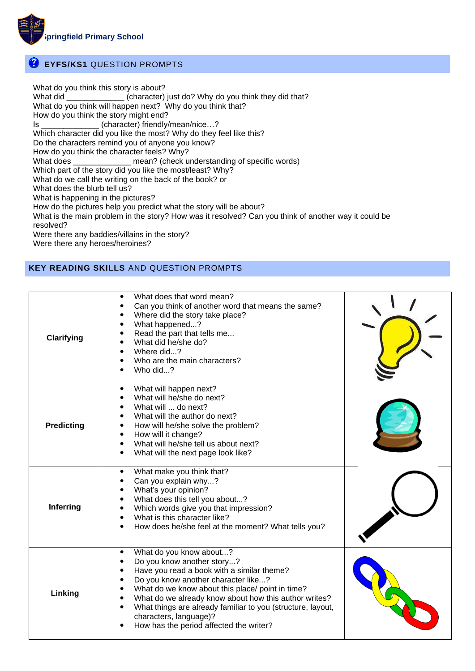

# **EYFS/KS1** QUESTION PROMPTS

What do you think this story is about? What did \_\_\_\_\_\_\_\_\_\_\_\_\_\_\_ (character) just do? Why do you think they did that? What do you think will happen next? Why do you think that? How do you think the story might end? Is  $(character)$  friendly/mean/nice...? Which character did you like the most? Why do they feel like this? Do the characters remind you of anyone you know? How do you think the character feels? Why? What does \_\_\_\_\_\_\_\_\_\_\_\_\_\_\_ mean? (check understanding of specific words) Which part of the story did you like the most/least? Why? What do we call the writing on the back of the book? or What does the blurb tell us? What is happening in the pictures? How do the pictures help you predict what the story will be about? What is the main problem in the story? How was it resolved? Can you think of another way it could be resolved? Were there any baddies/villains in the story? Were there any heroes/heroines?

## **KEY READING SKILLS** AND QUESTION PROMPTS

| Clarifying        | What does that word mean?<br>$\bullet$<br>Can you think of another word that means the same?<br>Where did the story take place?<br>$\bullet$<br>What happened?<br>Read the part that tells me<br>What did he/she do?<br>Where did?<br>Who are the main characters?<br>Who did?                                                                                                                                |  |
|-------------------|---------------------------------------------------------------------------------------------------------------------------------------------------------------------------------------------------------------------------------------------------------------------------------------------------------------------------------------------------------------------------------------------------------------|--|
| <b>Predicting</b> | What will happen next?<br>$\bullet$<br>What will he/she do next?<br>What will  do next?<br>What will the author do next?<br>How will he/she solve the problem?<br>How will it change?<br>$\bullet$<br>What will he/she tell us about next?<br>$\bullet$<br>What will the next page look like?<br>$\bullet$                                                                                                    |  |
| Inferring         | What make you think that?<br>$\bullet$<br>Can you explain why?<br>$\bullet$<br>What's your opinion?<br>$\bullet$<br>What does this tell you about?<br>Which words give you that impression?<br>What is this character like?<br>How does he/she feel at the moment? What tells you?                                                                                                                            |  |
| Linking           | What do you know about?<br>٠<br>Do you know another story?<br>Have you read a book with a similar theme?<br>Do you know another character like?<br>What do we know about this place/ point in time?<br>What do we already know about how this author writes?<br>What things are already familiar to you (structure, layout,<br>$\bullet$<br>characters, language)?<br>How has the period affected the writer? |  |